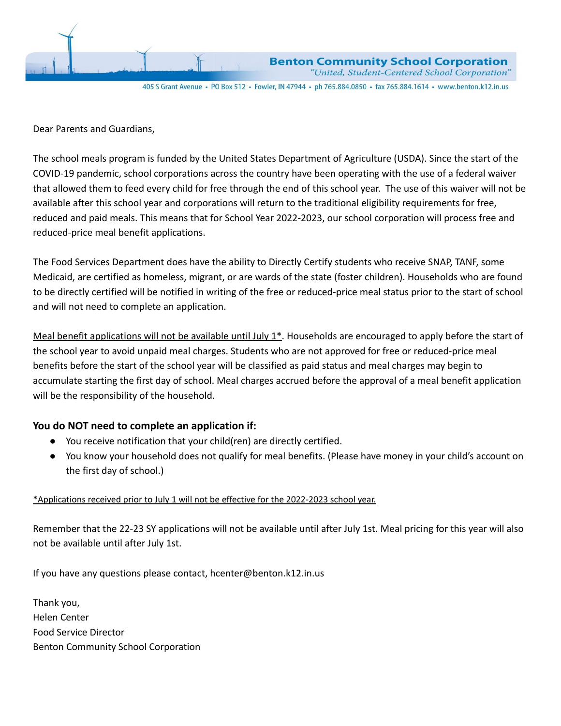

**Benton Community School Corporation** "United, Student-Centered School Corporation"

405 S Grant Avenue · PO Box 512 · Fowler, IN 47944 · ph 765.884.0850 · fax 765.884.1614 · www.benton.k12.in.us

Dear Parents and Guardians,

The school meals program is funded by the United States Department of Agriculture (USDA). Since the start of the COVID-19 pandemic, school corporations across the country have been operating with the use of a federal waiver that allowed them to feed every child for free through the end of this school year. The use of this waiver will not be available after this school year and corporations will return to the traditional eligibility requirements for free, reduced and paid meals. This means that for School Year 2022-2023, our school corporation will process free and reduced-price meal benefit applications.

The Food Services Department does have the ability to Directly Certify students who receive SNAP, TANF, some Medicaid, are certified as homeless, migrant, or are wards of the state (foster children). Households who are found to be directly certified will be notified in writing of the free or reduced-price meal status prior to the start of school and will not need to complete an application.

Meal benefit applications will not be available until July  $1^*$ . Households are encouraged to apply before the start of the school year to avoid unpaid meal charges. Students who are not approved for free or reduced-price meal benefits before the start of the school year will be classified as paid status and meal charges may begin to accumulate starting the first day of school. Meal charges accrued before the approval of a meal benefit application will be the responsibility of the household.

## **You do NOT need to complete an application if:**

- You receive notification that your child(ren) are directly certified.
- You know your household does not qualify for meal benefits. (Please have money in your child's account on the first day of school.)

## \*Applications received prior to July 1 will not be effective for the 2022-2023 school year.

Remember that the 22-23 SY applications will not be available until after July 1st. Meal pricing for this year will also not be available until after July 1st.

If you have any questions please contact, hcenter@benton.k12.in.us

Thank you, Helen Center Food Service Director Benton Community School Corporation